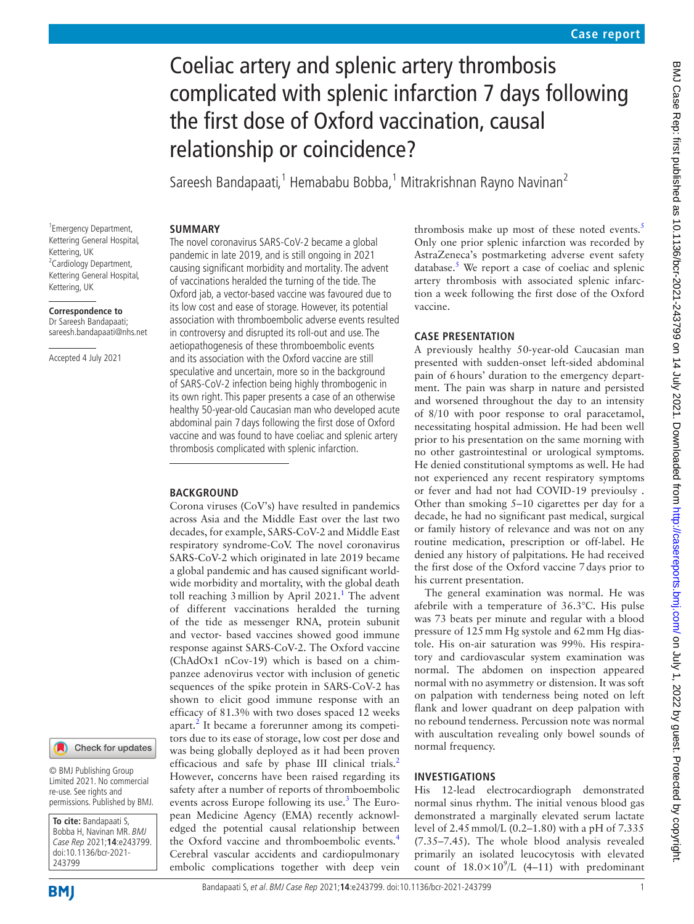# Coeliac artery and splenic artery thrombosis complicated with splenic infarction 7 days following the first dose of Oxford vaccination, causal relationship or coincidence?

Sareesh Bandapaati,<sup>1</sup> Hemababu Bobba,<sup>1</sup> Mitrakrishnan Rayno Navinan<sup>2</sup>

#### **SUMMARY**

1 Emergency Department, Kettering General Hospital, Kettering, UK <sup>2</sup> Cardiology Department, Kettering General Hospital, Kettering, UK

**Correspondence to**

Dr Sareesh Bandapaati; sareesh.bandapaati@nhs.net

Accepted 4 July 2021

#### Check for updates

© BMJ Publishing Group Limited 2021. No commercial re-use. See rights and permissions. Published by BMJ.

**To cite:** Bandapaati S, Bobba H, Navinan MR. BMJ Case Rep 2021;**14**:e243799. doi:10.1136/bcr-2021- 243799

The novel coronavirus SARS-CoV-2 became a global pandemic in late 2019, and is still ongoing in 2021 causing significant morbidity and mortality. The advent of vaccinations heralded the turning of the tide. The Oxford jab, a vector-based vaccine was favoured due to its low cost and ease of storage. However, its potential association with thromboembolic adverse events resulted in controversy and disrupted its roll-out and use. The aetiopathogenesis of these thromboembolic events and its association with the Oxford vaccine are still speculative and uncertain, more so in the background of SARS-CoV-2 infection being highly thrombogenic in its own right. This paper presents a case of an otherwise healthy 50-year-old Caucasian man who developed acute abdominal pain 7 days following the first dose of Oxford vaccine and was found to have coeliac and splenic artery thrombosis complicated with splenic infarction.

#### **BACKGROUND**

Corona viruses (CoV's) have resulted in pandemics across Asia and the Middle East over the last two decades, for example, SARS-CoV-2 and Middle East respiratory syndrome-CoV. The novel coronavirus SARS-CoV-2 which originated in late 2019 became a global pandemic and has caused significant worldwide morbidity and mortality, with the global death toll reaching  $3$  million by April  $2021$  $2021$ .<sup>1</sup> The advent of different vaccinations heralded the turning of the tide as messenger RNA, protein subunit and vector- based vaccines showed good immune response against SARS-CoV-2. The Oxford vaccine (ChAdOx1 nCov-19) which is based on a chimpanzee adenovirus vector with inclusion of genetic sequences of the spike protein in SARS-CoV-2 has shown to elicit good immune response with an efficacy of 81.3% with two doses spaced 12 weeks apart.<sup>[2](#page-4-1)</sup> It became a forerunner among its competitors due to its ease of storage, low cost per dose and was being globally deployed as it had been proven efficacious and safe by phase III clinical trials.<sup>[2](#page-4-1)</sup> However, concerns have been raised regarding its safety after a number of reports of thromboembolic events across Europe following its use.<sup>[3](#page-4-2)</sup> The European Medicine Agency (EMA) recently acknowledged the potential causal relationship between the Oxford vaccine and thromboembolic events.[4](#page-4-3) Cerebral vascular accidents and cardiopulmonary embolic complications together with deep vein

thrombosis make up most of these noted events. $5$ Only one prior splenic infarction was recorded by AstraZeneca's postmarketing adverse event safety database. $5$  We report a case of coeliac and splenic artery thrombosis with associated splenic infarction a week following the first dose of the Oxford vaccine.

## **CASE PRESENTATION**

A previously healthy 50-year-old Caucasian man presented with sudden-onset left-sided abdominal pain of 6hours' duration to the emergency department. The pain was sharp in nature and persisted and worsened throughout the day to an intensity of 8/10 with poor response to oral paracetamol, necessitating hospital admission. He had been well prior to his presentation on the same morning with no other gastrointestinal or urological symptoms. He denied constitutional symptoms as well. He had not experienced any recent respiratory symptoms or fever and had not had COVID-19 previoulsy . Other than smoking 5–10 cigarettes per day for a decade, he had no significant past medical, surgical or family history of relevance and was not on any routine medication, prescription or off-label. He denied any history of palpitations. He had received the first dose of the Oxford vaccine 7days prior to his current presentation.

The general examination was normal. He was afebrile with a temperature of 36.3°C. His pulse was 73 beats per minute and regular with a blood pressure of 125mm Hg systole and 62mm Hg diastole. His on-air saturation was 99%. His respiratory and cardiovascular system examination was normal. The abdomen on inspection appeared normal with no asymmetry or distension. It was soft on palpation with tenderness being noted on left flank and lower quadrant on deep palpation with no rebound tenderness. Percussion note was normal with auscultation revealing only bowel sounds of normal frequency.

# **INVESTIGATIONS**

His 12-lead electrocardiograph demonstrated normal sinus rhythm. The initial venous blood gas demonstrated a marginally elevated serum lactate level of 2.45mmol/L (0.2–1.80) with a pH of 7.335 (7.35–7.45). The whole blood analysis revealed primarily an isolated leucocytosis with elevated count of  $18.0 \times 10^9$ /L (4-11) with predominant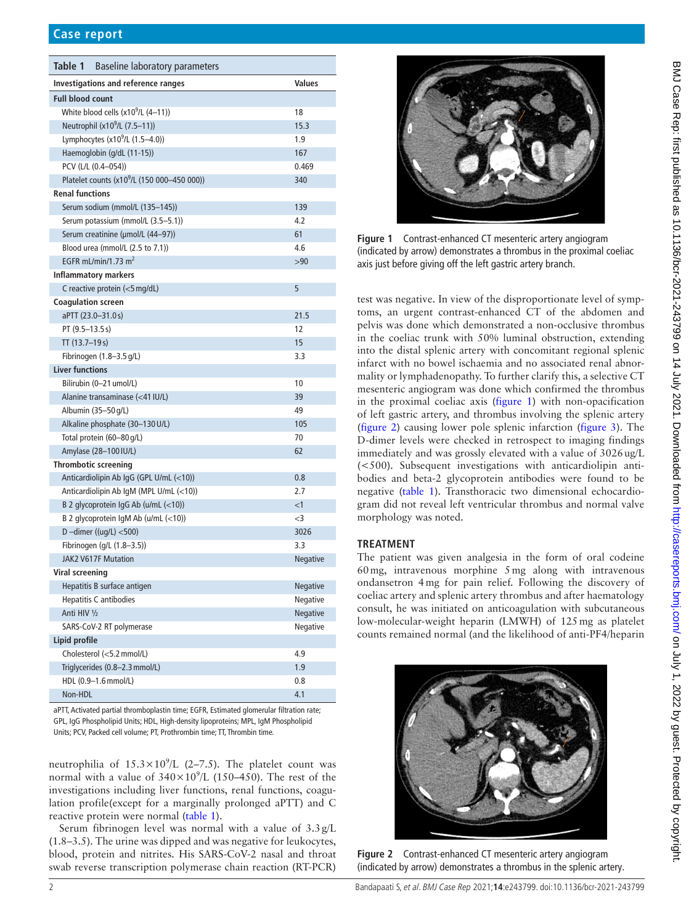<span id="page-1-0"></span>

| Table 1<br>Baseline laboratory parameters               |          |
|---------------------------------------------------------|----------|
| Investigations and reference ranges                     | Values   |
| <b>Full blood count</b>                                 |          |
| White blood cells $(x10^9/L (4-11))$                    | 18       |
| Neutrophil (x10 <sup>9</sup> /L (7.5-11))               | 15.3     |
| Lymphocytes $(x10^9/L (1.5-4.0))$                       | 1.9      |
| Haemoglobin (g/dL (11-15))                              | 167      |
| PCV (L/L (0.4-054))                                     | 0.469    |
| Platelet counts (x10 <sup>9</sup> /L (150 000-450 000)) | 340      |
| <b>Renal functions</b>                                  |          |
| Serum sodium (mmol/L (135-145))                         | 139      |
| Serum potassium (mmol/L (3.5-5.1))                      | 4.2      |
| Serum creatinine (µmol/L (44-97))                       | 61       |
| Blood urea (mmol/L (2.5 to 7.1))                        | 4.6      |
| EGFR mL/min/1.73 $m2$                                   | >90      |
| <b>Inflammatory markers</b>                             |          |
| C reactive protein (<5 mg/dL)                           | 5        |
| <b>Coagulation screen</b>                               |          |
| aPTT (23.0-31.0s)                                       | 21.5     |
| PT (9.5-13.5s)                                          | 12       |
| TT (13.7-19s)                                           | 15       |
| Fibrinogen $(1.8 - 3.5 \text{ g/L})$                    | 3.3      |
| <b>Liver functions</b>                                  |          |
| Bilirubin (0-21 umol/L)                                 | 10       |
| Alanine transaminase (<41 IU/L)                         | 39       |
| Albumin (35-50 g/L)                                     | 49       |
| Alkaline phosphate (30-130 U/L)                         | 105      |
| Total protein (60-80 g/L)                               | 70       |
| Amylase (28-100 IU/L)                                   | 62       |
| <b>Thrombotic screening</b>                             |          |
| Anticardiolipin Ab IgG (GPL U/mL (<10))                 | 0.8      |
| Anticardiolipin Ab IgM (MPL U/mL (<10))                 | 2.7      |
| B 2 glycoprotein IgG Ab (u/mL (<10))                    | $<$ 1    |
| B 2 glycoprotein IgM Ab $(u/mL \le 10)$                 | $<$ 3    |
| D-dimer ((ug/L) $<$ 500)                                | 3026     |
| Fibrinogen (g/L (1.8-3.5))                              | 3.3      |
| <b>JAK2 V617F Mutation</b>                              | Negative |
| Viral screening                                         |          |
| Hepatitis B surface antigen                             | Negative |
| <b>Hepatitis C antibodies</b>                           | Negative |
| Anti HIV 1/2                                            | Negative |
| SARS-CoV-2 RT polymerase                                | Negative |
| Lipid profile                                           |          |
| Cholesterol (<5.2 mmol/L)                               | 4.9      |
| Triglycerides (0.8-2.3 mmol/L)                          | 1.9      |
| HDL (0.9-1.6 mmol/L)                                    | 0.8      |
| Non-HDL                                                 | 4.1      |

aPTT, Activated partial thromboplastin time; EGFR, Estimated glomerular filtration rate; GPL, IgG Phospholipid Units; HDL, High-density lipoproteins; MPL, IgM Phospholipid Units; PCV, Packed cell volume; PT, Prothrombin time; TT, Thrombin time.

neutrophilia of  $15.3 \times 10^9$ /L (2-7.5). The platelet count was normal with a value of  $340 \times 10^9$ /L (150–450). The rest of the investigations including liver functions, renal functions, coagulation profile(except for a marginally prolonged aPTT) and C reactive protein were normal [\(table](#page-1-0) 1).

Serum fibrinogen level was normal with a value of  $3.3 g/L$ (1.8–3.5). The urine was dipped and was negative for leukocytes, blood, protein and nitrites. His SARS-CoV-2 nasal and throat swab reverse transcription polymerase chain reaction (RT-PCR)



**Figure 1** Contrast-enhanced CT mesenteric artery angiogram (indicated by arrow) demonstrates a thrombus in the proximal coeliac axis just before giving off the left gastric artery branch.

<span id="page-1-1"></span>test was negative. In view of the disproportionate level of symptoms, an urgent contrast-enhanced CT of the abdomen and pelvis was done which demonstrated a non-occlusive thrombus in the coeliac trunk with 50% luminal obstruction, extending into the distal splenic artery with concomitant regional splenic infarct with no bowel ischaemia and no associated renal abnormality or lymphadenopathy. To further clarify this, a selective CT mesenteric angiogram was done which confirmed the thrombus in the proximal coeliac axis ([figure](#page-1-1) 1) with non-opacification of left gastric artery, and thrombus involving the splenic artery ([figure](#page-1-2) 2) causing lower pole splenic infarction [\(figure](#page-2-0) 3). The D-dimer levels were checked in retrospect to imaging findings immediately and was grossly elevated with a value of 3026ug/L (<500). Subsequent investigations with anticardiolipin antibodies and beta-2 glycoprotein antibodies were found to be negative ([table](#page-1-0) 1). Transthoracic two dimensional echocardiogram did not reveal left ventricular thrombus and normal valve morphology was noted.

## **TREATMENT**

The patient was given analgesia in the form of oral codeine 60mg, intravenous morphine 5mg along with intravenous ondansetron 4mg for pain relief. Following the discovery of coeliac artery and splenic artery thrombus and after haematology consult, he was initiated on anticoagulation with subcutaneous low-molecular-weight heparin (LMWH) of 125mg as platelet counts remained normal (and the likelihood of anti-PF4/heparin

<span id="page-1-2"></span>

**Figure 2** Contrast-enhanced CT mesenteric artery angiogram (indicated by arrow) demonstrates a thrombus in the splenic artery.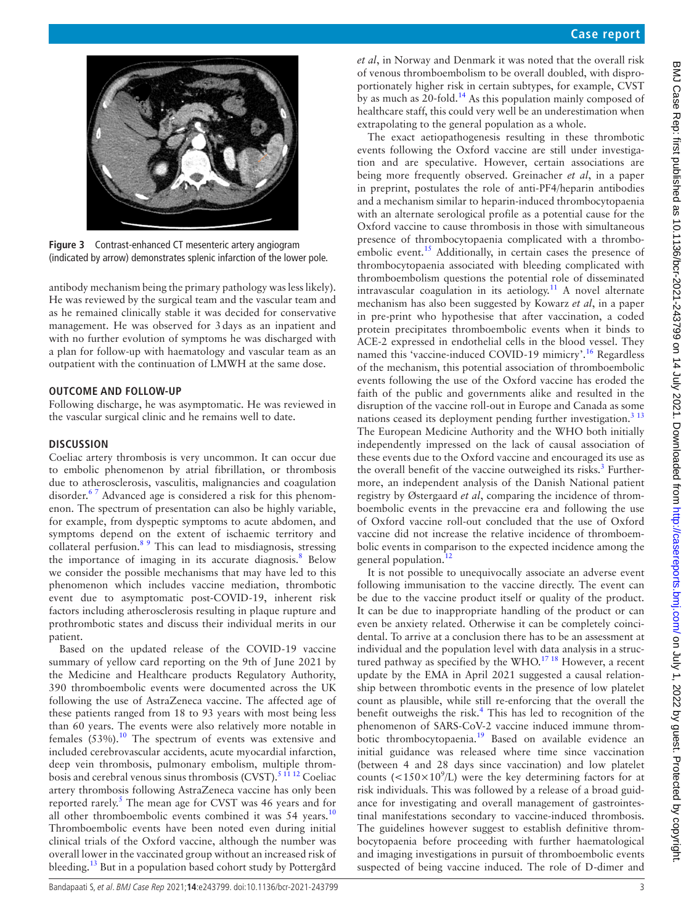

**Figure 3** Contrast-enhanced CT mesenteric artery angiogram (indicated by arrow) demonstrates splenic infarction of the lower pole.

<span id="page-2-0"></span>antibody mechanism being the primary pathology was less likely). He was reviewed by the surgical team and the vascular team and as he remained clinically stable it was decided for conservative management. He was observed for 3days as an inpatient and with no further evolution of symptoms he was discharged with a plan for follow-up with haematology and vascular team as an outpatient with the continuation of LMWH at the same dose.

#### **OUTCOME AND FOLLOW-UP**

Following discharge, he was asymptomatic. He was reviewed in the vascular surgical clinic and he remains well to date.

#### **DISCUSSION**

Coeliac artery thrombosis is very uncommon. It can occur due to embolic phenomenon by atrial fibrillation, or thrombosis due to atherosclerosis, vasculitis, malignancies and coagulation disorder.<sup>67</sup> Advanced age is considered a risk for this phenomenon. The spectrum of presentation can also be highly variable, for example, from dyspeptic symptoms to acute abdomen, and symptoms depend on the extent of ischaemic territory and collateral perfusion.<sup>[8 9](#page-4-6)</sup> This can lead to misdiagnosis, stressing the importance of imaging in its accurate diagnosis.<sup>[8](#page-4-6)</sup> Below we consider the possible mechanisms that may have led to this phenomenon which includes vaccine mediation, thrombotic event due to asymptomatic post-COVID-19, inherent risk factors including atherosclerosis resulting in plaque rupture and prothrombotic states and discuss their individual merits in our patient.

Based on the updated release of the COVID-19 vaccine summary of yellow card reporting on the 9th of June 2021 by the Medicine and Healthcare products Regulatory Authority, 390 thromboembolic events were documented across the UK following the use of AstraZeneca vaccine. The affected age of these patients ranged from 18 to 93 years with most being less than 60 years. The events were also relatively more notable in females  $(53\%)$ .<sup>10</sup> The spectrum of events was extensive and included cerebrovascular accidents, acute myocardial infarction, deep vein thrombosis, pulmonary embolism, multiple thrombosis and cerebral venous sinus thrombosis (CVST).<sup>5 11 12</sup> Coeliac artery thrombosis following AstraZeneca vaccine has only been reported rarely.<sup>5</sup> The mean age for CVST was 46 years and for all other thromboembolic events combined it was  $54$  years.<sup>[10](#page-4-7)</sup> Thromboembolic events have been noted even during initial clinical trials of the Oxford vaccine, although the number was overall lower in the vaccinated group without an increased risk of bleeding[.13](#page-4-8) But in a population based cohort study by Pottergård

*et al*, in Norway and Denmark it was noted that the overall risk of venous thromboembolism to be overall doubled, with disproportionately higher risk in certain subtypes, for example, CVST by as much as 20-fold.<sup>14</sup> As this population mainly composed of healthcare staff, this could very well be an underestimation when extrapolating to the general population as a whole.

The exact aetiopathogenesis resulting in these thrombotic events following the Oxford vaccine are still under investigation and are speculative. However, certain associations are being more frequently observed. Greinacher *et al*, in a paper in preprint, postulates the role of anti-PF4/heparin antibodies and a mechanism similar to heparin-induced thrombocytopaenia with an alternate serological profile as a potential cause for the Oxford vaccine to cause thrombosis in those with simultaneous presence of thrombocytopaenia complicated with a thromboembolic event.<sup>15</sup> Additionally, in certain cases the presence of thrombocytopaenia associated with bleeding complicated with thromboembolism questions the potential role of disseminated intravascular coagulation in its aetiology.<sup>11</sup> A novel alternate mechanism has also been suggested by Kowarz *et al*, in a paper in pre-print who hypothesise that after vaccination, a coded protein precipitates thromboembolic events when it binds to ACE-2 expressed in endothelial cells in the blood vessel. They named this 'vaccine-induced COVID-19 mimicry'.<sup>16</sup> Regardless of the mechanism, this potential association of thromboembolic events following the use of the Oxford vaccine has eroded the faith of the public and governments alike and resulted in the disruption of the vaccine roll-out in Europe and Canada as some nations ceased its deployment pending further investigation.<sup>[3 13](#page-4-2)</sup> The European Medicine Authority and the WHO both initially independently impressed on the lack of causal association of these events due to the Oxford vaccine and encouraged its use as the overall benefit of the vaccine outweighed its risks.<sup>[3](#page-4-2)</sup> Furthermore, an independent analysis of the Danish National patient registry by Østergaard *et al*, comparing the incidence of thromboembolic events in the prevaccine era and following the use of Oxford vaccine roll-out concluded that the use of Oxford vaccine did not increase the relative incidence of thromboembolic events in comparison to the expected incidence among the general population.<sup>[12](#page-4-13)</sup>

It is not possible to unequivocally associate an adverse event following immunisation to the vaccine directly. The event can be due to the vaccine product itself or quality of the product. It can be due to inappropriate handling of the product or can even be anxiety related. Otherwise it can be completely coincidental. To arrive at a conclusion there has to be an assessment at individual and the population level with data analysis in a structured pathway as specified by the WHO.<sup>17 18</sup> However, a recent update by the EMA in April 2021 suggested a causal relationship between thrombotic events in the presence of low platelet count as plausible, while still re-enforcing that the overall the benefit outweighs the risk.<sup>[4](#page-4-3)</sup> This has led to recognition of the phenomenon of SARS-CoV-2 vaccine induced immune thrombotic thrombocytopaenia.[19](#page-4-15) Based on available evidence an initial guidance was released where time since vaccination (between 4 and 28 days since vaccination) and low platelet counts (<150 $\times$ 10<sup>9</sup>/L) were the key determining factors for at risk individuals. This was followed by a release of a broad guidance for investigating and overall management of gastrointestinal manifestations secondary to vaccine-induced thrombosis. The guidelines however suggest to establish definitive thrombocytopaenia before proceeding with further haematological and imaging investigations in pursuit of thromboembolic events suspected of being vaccine induced. The role of D-dimer and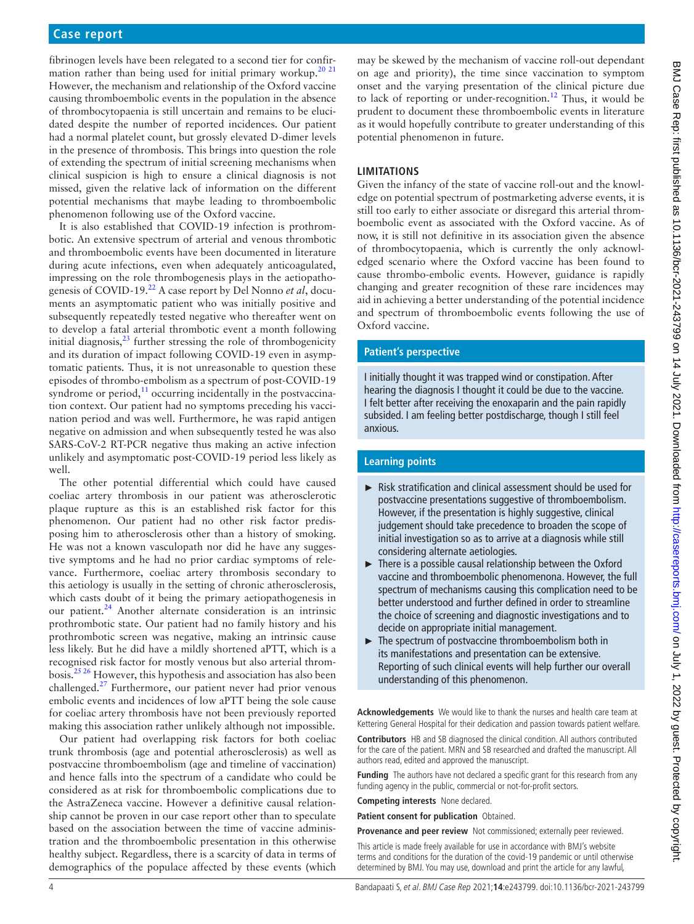fibrinogen levels have been relegated to a second tier for confir-mation rather than being used for initial primary workup.<sup>[20 21](#page-4-16)</sup> However, the mechanism and relationship of the Oxford vaccine causing thromboembolic events in the population in the absence of thrombocytopaenia is still uncertain and remains to be elucidated despite the number of reported incidences. Our patient had a normal platelet count, but grossly elevated D-dimer levels in the presence of thrombosis. This brings into question the role of extending the spectrum of initial screening mechanisms when clinical suspicion is high to ensure a clinical diagnosis is not missed, given the relative lack of information on the different potential mechanisms that maybe leading to thromboembolic phenomenon following use of the Oxford vaccine.

It is also established that COVID-19 infection is prothrombotic. An extensive spectrum of arterial and venous thrombotic and thromboembolic events have been documented in literature during acute infections, even when adequately anticoagulated, impressing on the role thrombogenesis plays in the aetiopathogenesis of COVID-19.[22](#page-4-17) A case report by Del Nonno *et al*, documents an asymptomatic patient who was initially positive and subsequently repeatedly tested negative who thereafter went on to develop a fatal arterial thrombotic event a month following initial diagnosis, $^{23}$  further stressing the role of thrombogenicity and its duration of impact following COVID-19 even in asymptomatic patients. Thus, it is not unreasonable to question these episodes of thrombo-embolism as a spectrum of post-COVID-19 syndrome or period, $11$  occurring incidentally in the postvaccination context. Our patient had no symptoms preceding his vaccination period and was well. Furthermore, he was rapid antigen negative on admission and when subsequently tested he was also SARS-CoV-2 RT-PCR negative thus making an active infection unlikely and asymptomatic post-COVID-19 period less likely as well.

The other potential differential which could have caused coeliac artery thrombosis in our patient was atherosclerotic plaque rupture as this is an established risk factor for this phenomenon. Our patient had no other risk factor predisposing him to atherosclerosis other than a history of smoking. He was not a known vasculopath nor did he have any suggestive symptoms and he had no prior cardiac symptoms of relevance. Furthermore, coeliac artery thrombosis secondary to this aetiology is usually in the setting of chronic atherosclerosis, which casts doubt of it being the primary aetiopathogenesis in our patient.<sup>[24](#page-4-19)</sup> Another alternate consideration is an intrinsic prothrombotic state. Our patient had no family history and his prothrombotic screen was negative, making an intrinsic cause less likely. But he did have a mildly shortened aPTT, which is a recognised risk factor for mostly venous but also arterial thrombosis.[25 26](#page-4-20) However, this hypothesis and association has also been challenged.<sup>[27](#page-4-21)</sup> Furthermore, our patient never had prior venous embolic events and incidences of low aPTT being the sole cause for coeliac artery thrombosis have not been previously reported making this association rather unlikely although not impossible.

Our patient had overlapping risk factors for both coeliac trunk thrombosis (age and potential atherosclerosis) as well as postvaccine thromboembolism (age and timeline of vaccination) and hence falls into the spectrum of a candidate who could be considered as at risk for thromboembolic complications due to the AstraZeneca vaccine. However a definitive causal relationship cannot be proven in our case report other than to speculate based on the association between the time of vaccine administration and the thromboembolic presentation in this otherwise healthy subject. Regardless, there is a scarcity of data in terms of demographics of the populace affected by these events (which

may be skewed by the mechanism of vaccine roll-out dependant on age and priority), the time since vaccination to symptom onset and the varying presentation of the clinical picture due to lack of reporting or under-recognition.<sup>12</sup> Thus, it would be prudent to document these thromboembolic events in literature as it would hopefully contribute to greater understanding of this potential phenomenon in future.

# **LIMITATIONS**

Given the infancy of the state of vaccine roll-out and the knowledge on potential spectrum of postmarketing adverse events, it is still too early to either associate or disregard this arterial thromboembolic event as associated with the Oxford vaccine. As of now, it is still not definitive in its association given the absence of thrombocytopaenia, which is currently the only acknowledged scenario where the Oxford vaccine has been found to cause thrombo-embolic events. However, guidance is rapidly changing and greater recognition of these rare incidences may aid in achieving a better understanding of the potential incidence and spectrum of thromboembolic events following the use of Oxford vaccine.

# **Patient's perspective**

I initially thought it was trapped wind or constipation. After hearing the diagnosis I thought it could be due to the vaccine. I felt better after receiving the enoxaparin and the pain rapidly subsided. I am feeling better postdischarge, though I still feel anxious.

# **Learning points**

- ► Risk stratification and clinical assessment should be used for postvaccine presentations suggestive of thromboembolism. However, if the presentation is highly suggestive, clinical judgement should take precedence to broaden the scope of initial investigation so as to arrive at a diagnosis while still considering alternate aetiologies.
- ► There is a possible causal relationship between the Oxford vaccine and thromboembolic phenomenona. However, the full spectrum of mechanisms causing this complication need to be better understood and further defined in order to streamline the choice of screening and diagnostic investigations and to decide on appropriate initial management.
- ► The spectrum of postvaccine thromboembolism both in its manifestations and presentation can be extensive. Reporting of such clinical events will help further our overall understanding of this phenomenon.

**Acknowledgements** We would like to thank the nurses and health care team at Kettering General Hospital for their dedication and passion towards patient welfare.

**Contributors** HB and SB diagnosed the clinical condition. All authors contributed for the care of the patient. MRN and SB researched and drafted the manuscript. All authors read, edited and approved the manuscript.

**Funding** The authors have not declared a specific grant for this research from any funding agency in the public, commercial or not-for-profit sectors.

**Competing interests** None declared.

**Patient consent for publication** Obtained.

**Provenance and peer review** Not commissioned; externally peer reviewed.

This article is made freely available for use in accordance with BMJ's website terms and conditions for the duration of the covid-19 pandemic or until otherwise determined by BMJ. You may use, download and print the article for any lawful,